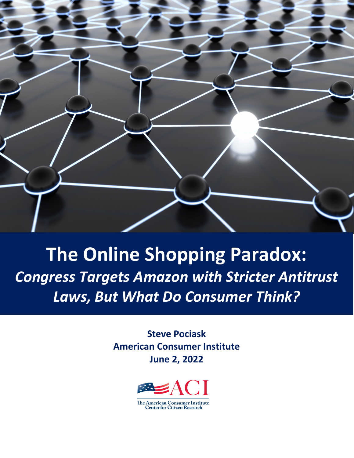

# **The Online Shopping Paradox:** *Congress Targets Amazon with Stricter Antitrust Laws, But What Do Consumer Think?*

**Steve Pociask American Consumer Institute June 2, 2022**

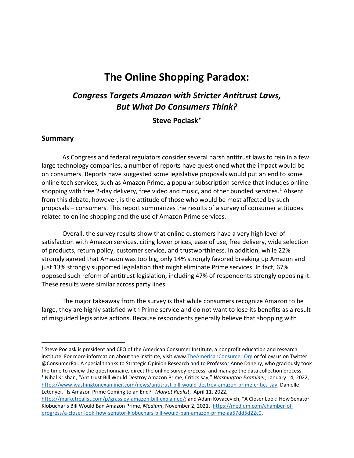## **The Online Shopping Paradox:**

## *Congress Targets Amazon with Stricter Antitrust Laws, But What Do Consumers Think?*

#### **Steve Pociask**[∗](#page-1-0)

#### **Summary**

As Congress and federal regulators consider several harsh antitrust laws to rein in a few large technology companies, a number of reports have questioned what the impact would be on consumers. Reports have suggested some legislative proposals would put an end to some online tech services, such as Amazon Prime, a popular subscription service that includes online shopping with free 2-day delivery, free video and music, and other bundled services.<sup>[1](#page-1-1)</sup> Absent from this debate, however, is the attitude of those who would be most affected by such proposals – consumers. This report summarizes the results of a survey of consumer attitudes related to online shopping and the use of Amazon Prime services.

Overall, the survey results show that online customers have a very high level of satisfaction with Amazon services, citing lower prices, ease of use, free delivery, wide selection of products, return policy, customer service, and trustworthiness. In addition, while 22% strongly agreed that Amazon was too big, only 14% strongly favored breaking up Amazon and just 13% strongly supported legislation that might eliminate Prime services. In fact, 67% opposed such reform of antitrust legislation, including 47% of respondents strongly opposing it. These results were similar across party lines.

The major takeaway from the survey is that while consumers recognize Amazon to be large, they are highly satisfied with Prime service and do not want to lose its benefits as a result of misguided legislative actions. Because respondents generally believe that shopping with

<span id="page-1-0"></span><sup>∗</sup> Steve Pociask is president and CEO of the American Consumer Institute, a nonprofit education and research institute. For more information about the institute, visit ww[w.TheAmericanConsumer.Org](http://www.theamericanconsumer.org/) or follow us on Twitter @ConsumerPal. A special thanks to Strategic Opinion Research and to Professor Anne Danehy, who graciously took the time to review the questionnaire, direct the online survey process, and manage the data collection process. <sup>1</sup> Nihal Krishan, "Antitrust Bill Would Destroy Amazon Prime, Critics say," *Washington Examiner*, January 14, 2022, [https://www.washingtonexaminer.com/news/antitrust-bill-would-destroy-amazon-prime-critics-say;](https://www.washingtonexaminer.com/news/antitrust-bill-would-destroy-amazon-prime-critics-say) Danielle Letenyei, "Is Amazon Prime Coming to an End?" *Market Realist*, April 11, 2022,

<span id="page-1-1"></span>[https://marketrealist.com/p/grassley-amazon-bill-explained/;](https://marketrealist.com/p/grassley-amazon-bill-explained/) and Adam Kovacevich, "A Closer Look: How Senator Klobuchar's Bill Would Ban Amazon Prime, *Medium*, November 2, 2021, [https://medium.com/chamber-of](https://medium.com/chamber-of-progress/a-closer-look-how-senator-klobuchars-bill-would-ban-amazon-prime-aa57dd5d22c0)[progress/a-closer-look-how-senator-klobuchars-bill-would-ban-amazon-prime-aa57dd5d22c0.](https://medium.com/chamber-of-progress/a-closer-look-how-senator-klobuchars-bill-would-ban-amazon-prime-aa57dd5d22c0)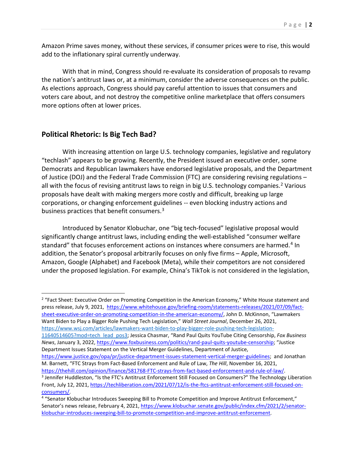Amazon Prime saves money, without these services, if consumer prices were to rise, this would add to the inflationary spiral currently underway.

With that in mind, Congress should re-evaluate its consideration of proposals to revamp the nation's antitrust laws or, at a minimum, consider the adverse consequences on the public. As elections approach, Congress should pay careful attention to issues that consumers and voters care about, and not destroy the competitive online marketplace that offers consumers more options often at lower prices.

#### **Political Rhetoric: Is Big Tech Bad?**

With increasing attention on large U.S. technology companies, legislative and regulatory "techlash" appears to be growing. Recently, [the President](https://www.whitehouse.gov/briefing-room/statements-releases/2021/07/09/fact-sheet-executive-order-on-promoting-competition-in-the-american-economy/) issued an executive order, some [Democrats](https://www.wsj.com/articles/lawmakers-want-biden-to-play-bigger-role-pushing-tech-legislation-11640514605?mod=tech_lead_pos3) and [Republican](https://www.foxbusiness.com/politics/rand-paul-quits-youtube-censorship) lawmakers have endorsed legislative proposals, and the Department of Justice [\(DOJ\)](https://www.justice.gov/opa/pr/justice-department-issues-statement-vertical-merger-guidelines) and the Federal Trade Commission [\(FTC\)](https://thehill.com/opinion/finance/581768-FTC-strays-from-fact-based-enforcement-and-rule-of-law#:%7E:text=In%20short%20order%2C%20FTC%20leadership%20has%20rescinded%20a,broad%20support%20in%20the%20scholarly%20and%20practitioner%20communities.) are considering revising regulations – all with the focus of revising antitrust laws to reign in big U.S. technology companies.<sup>[2](#page-2-0)</sup> Various proposals have dealt with making mergers more costly and difficult, breaking up large corporations, or changing enforcement guidelines -- even blocking industry actions and business practices that [benefit consumers.](https://techliberation.com/2021/07/12/is-the-ftcs-antitrust-enforcement-still-focused-on-consumers/#:%7E:text=The%20Federal%20Trade%20Commission%20%28FTC%29%20voted%20on%20July,commitment%20to%20an%20objective%20consumer-based%20approach%20to%20antitrust.)<sup>[3](#page-2-1)</sup>

Introduced by Senator Klobuchar, one "big tech-focused" [legislative](https://www.klobuchar.senate.gov/public/index.cfm/2021/2/senator-klobuchar-introduces-sweeping-bill-to-promote-competition-and-improve-antitrust-enforcement) proposal would significantly change antitrust laws, including ending the well-established "consumer welfare standard" that focuses enforcement actions on instances where consumers are harmed.<sup>[4](#page-2-2)</sup> In addition, the Senator's proposal arbitrarily focuses on only five firms – Apple, Microsoft, Amazon, Google (Alphabet) and Facebook (Meta), while their competitors are not considered under the proposed legislation. For example, China's TikTok is not considered in the legislation,

<span id="page-2-0"></span><sup>2</sup> "Fact Sheet: Executive Order on Promoting Competition in the American Economy," White House statement and press release, July 9, 2021, [https://www.whitehouse.gov/briefing-room/statements-releases/2021/07/09/fact](https://www.whitehouse.gov/briefing-room/statements-releases/2021/07/09/fact-sheet-executive-order-on-promoting-competition-in-the-american-economy/)[sheet-executive-order-on-promoting-competition-in-the-american-economy/,](https://www.whitehouse.gov/briefing-room/statements-releases/2021/07/09/fact-sheet-executive-order-on-promoting-competition-in-the-american-economy/) John D. McKinnon, "Lawmakers Want Biden to Play a Bigger Role Pushing Tech Legislation," *Wall Street Journal*, December 26, 2021,

[https://www.wsj.com/articles/lawmakers-want-biden-to-play-bigger-role-pushing-tech-legislation-](https://www.wsj.com/articles/lawmakers-want-biden-to-play-bigger-role-pushing-tech-legislation-11640514605?mod=tech_lead_pos3)[11640514605?mod=tech\\_lead\\_pos3;](https://www.wsj.com/articles/lawmakers-want-biden-to-play-bigger-role-pushing-tech-legislation-11640514605?mod=tech_lead_pos3) Jessica Chasmar, "Rand Paul Quits YouTube Citing Censorship, *Fox Business News*, January 3, 2022[, https://www.foxbusiness.com/politics/rand-paul-quits-youtube-censorship;](https://www.foxbusiness.com/politics/rand-paul-quits-youtube-censorship) "Justice Department Issues Statement on the Vertical Merger Guidelines, Department of Justice,

[https://www.justice.gov/opa/pr/justice-department-issues-statement-vertical-merger-guidelines;](https://www.justice.gov/opa/pr/justice-department-issues-statement-vertical-merger-guidelines) and Jonathan M. Barnett, "FTC Strays from Fact-Based Enforcement and Rule of Law, *The Hill*, November 16, 2021,

<span id="page-2-1"></span>https://thehill.com/opinion/finance/581768-FTC-strays-from-fact-based-enforcement-and-rule-of-law/.<br><sup>3</sup> Jennifer Huddleston, "Is the FTC's Antitrust Enforcement Still Focused on Consumers?" The Technology Liberation Front, July 12, 2021, [https://techliberation.com/2021/07/12/is-the-ftcs-antitrust-enforcement-still-focused-on](https://techliberation.com/2021/07/12/is-the-ftcs-antitrust-enforcement-still-focused-on-consumers/)[consumers/.](https://techliberation.com/2021/07/12/is-the-ftcs-antitrust-enforcement-still-focused-on-consumers/)<br><sup>4</sup> "Senator Klobuchar Introduces Sweeping Bill to Promote Competition and Improve Antitrust Enforcement,"

<span id="page-2-2"></span>Senator's news release, February 4, 2021[, https://www.klobuchar.senate.gov/public/index.cfm/2021/2/senator](https://www.klobuchar.senate.gov/public/index.cfm/2021/2/senator-klobuchar-introduces-sweeping-bill-to-promote-competition-and-improve-antitrust-enforcement)[klobuchar-introduces-sweeping-bill-to-promote-competition-and-improve-antitrust-enforcement.](https://www.klobuchar.senate.gov/public/index.cfm/2021/2/senator-klobuchar-introduces-sweeping-bill-to-promote-competition-and-improve-antitrust-enforcement)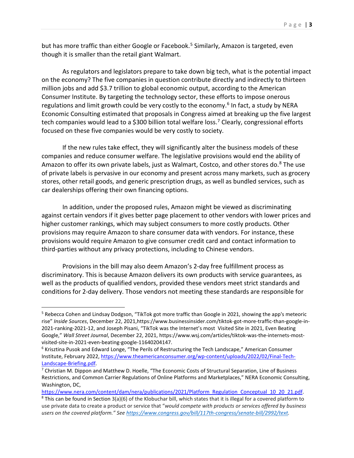but has more traffic than either Google or Facebook. [5](#page-3-0) Similarly, Amazon is targeted, even though it is smaller than the retail giant Walmart.

As regulators and legislators prepare to take down big tech, what is the potential impact on the economy? The five companies in question contribute directly and indirectly to thirteen million jobs and add \$3.7 trillion to global economic output, according to the American Consumer Institute. By targeting the technology sector, these efforts to impose onerous regulations and limit growth could be very costly to the economy.<sup>[6](#page-3-1)</sup> In fact, a study by NERA Economic Consulting estimated that proposals in Congress aimed at breaking up the five largest tech companies would lead to a \$300 billion total welfare loss.<sup>7</sup> Clearly, congressional efforts focused on these five companies would be very costly to society.

If the new rules take effect, they will significantly alter the business models of these companies and reduce consumer welfare. The legislative provisions would end the ability of Amazon to offer its own private labels, just as Walmart, Costco, and other stores do.<sup>[8](#page-3-3)</sup> The use of private labels is pervasive in our economy and present across many markets, such as grocery stores, other retail goods, and generic prescription drugs, as well as bundled services, such as car dealerships offering their own financing options.

In addition, under the proposed rules, Amazon might be viewed as discriminating against certain vendors if it gives better page placement to other vendors with lower prices and higher customer rankings, which may subject consumers to more costly products. Other provisions may require Amazon to share consumer data with vendors. For instance, these provisions would require Amazon to give consumer credit card and contact information to third-parties without any privacy protections, including to Chinese vendors.

Provisions in the bill may also deem Amazon's 2-day free fulfillment process as discriminatory. This is because Amazon delivers its own products with service guarantees, as well as the products of qualified vendors, provided these vendors meet strict standards and conditions for 2-day delivery. Those vendors not meeting these standards are responsible for

<span id="page-3-0"></span><sup>5</sup> Rebecca Cohen and Lindsay Dodgson, "TikTok got more traffic than Google in 2021, showing the app's meteoric rise" *Inside Sources*, December 22, 2021,https://www.businessinsider.com/tiktok-got-more-traffic-than-google-in-2021-ranking-2021-12, and Joseph Pisani, "TikTok was the Internet's most Visited Site in 2021, Even Beating Google," *Wall Street Journal*, December 22, 2021, https://www.wsj.com/articles/tiktok-was-the-internets-mostvisited-site-in-2021-even-beating-google-11640204147.<br><sup>6</sup> Krisztina Pusok and Edward Longe, "The Perils of Restructuring the Tech Landscape," American Consumer

<span id="page-3-1"></span>Institute, February 2022[, https://www.theamericanconsumer.org/wp-content/uploads/2022/02/Final-Tech-](https://www.theamericanconsumer.org/wp-content/uploads/2022/02/Final-Tech-Landscape-Briefing.pdf)Landscape-Briefing.pdf.<br><sup>7</sup> Christian M. Dippon and Matthew D. Hoelle, "The Economic Costs of Structural Separation, Line of Business

<span id="page-3-2"></span>Restrictions, and Common Carrier Regulations of Online Platforms and Marketplaces," NERA Economic Consulting, Washington, DC,

<span id="page-3-3"></span>[https://www.nera.com/content/dam/nera/publications/2021/Platform\\_Regulation\\_Conceptual\\_10\\_20\\_21.pdf.](https://www.nera.com/content/dam/nera/publications/2021/Platform_Regulation_Conceptual_10_20_21.pdf) 8 This can be found in Section 3(a)(6) of the Klobuchar bill, which states that it is illegal for a covered platform to use private data to create a product or service that "*would compete with products or services offered by business users on the covered platform." Se[e https://www.congress.gov/bill/117th-congress/senate-bill/2992/text.](https://www.congress.gov/bill/117th-congress/senate-bill/2992/text)*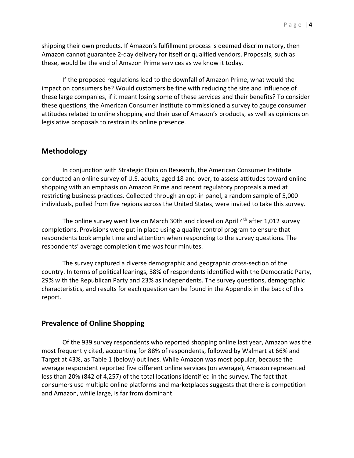shipping their own products. If Amazon's fulfillment process is deemed discriminatory, then Amazon cannot guarantee 2-day delivery for itself or qualified vendors. Proposals, such as these, would be the end of Amazon Prime services as we know it today.

If the proposed regulations lead to the downfall of Amazon Prime, what would the impact on consumers be? Would customers be fine with reducing the size and influence of these large companies, if it meant losing some of these services and their benefits? To consider these questions, the American Consumer Institute commissioned a survey to gauge consumer attitudes related to online shopping and their use of Amazon's products, as well as opinions on legislative proposals to restrain its online presence.

#### **Methodology**

In conjunction with Strategic Opinion Research, the American Consumer Institute conducted an online survey of U.S. adults, aged 18 and over, to assess attitudes toward online shopping with an emphasis on Amazon Prime and recent regulatory proposals aimed at restricting business practices. Collected through an opt-in panel, a random sample of 5,000 individuals, pulled from five regions across the United States, were invited to take this survey.

The online survey went live on March 30th and closed on April 4th after 1,012 survey completions. Provisions were put in place using a quality control program to ensure that respondents took ample time and attention when responding to the survey questions. The respondents' average completion time was four minutes.

The survey captured a diverse demographic and geographic cross-section of the country. In terms of political leanings, 38% of respondents identified with the Democratic Party, 29% with the Republican Party and 23% as independents. The survey questions, demographic characteristics, and results for each question can be found in the Appendix in the back of this report.

#### **Prevalence of Online Shopping**

Of the 939 survey respondents who reported shopping online last year, Amazon was the most frequently cited, accounting for 88% of respondents, followed by Walmart at 66% and Target at 43%, as Table 1 (below) outlines. While Amazon was most popular, because the average respondent reported five different online services (on average), Amazon represented less than 20% (842 of 4,257) of the total locations identified in the survey. The fact that consumers use multiple online platforms and marketplaces suggests that there is competition and Amazon, while large, is far from dominant.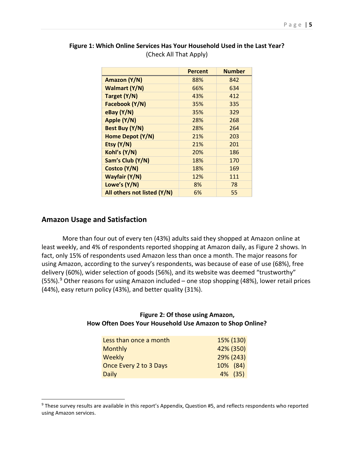|                             | <b>Percent</b> | <b>Number</b> |
|-----------------------------|----------------|---------------|
| Amazon (Y/N)                | 88%            | 842           |
| Walmart (Y/N)               | 66%            | 634           |
| Target (Y/N)                | 43%            | 412           |
| Facebook (Y/N)              | 35%            | 335           |
| eBay (Y/N)                  | 35%            | 329           |
| Apple (Y/N)                 | 28%            | 268           |
| Best Buy (Y/N)              | 28%            | 264           |
| Home Depot (Y/N)            | 21%            | 203           |
| Etsy (Y/N)                  | 21%            | 201           |
| Kohl's (Y/N)                | 20%            | 186           |
| Sam's Club (Y/N)            | 18%            | 170           |
| Costco (Y/N)                | 18%            | 169           |
| Wayfair (Y/N)               | 12%            | 111           |
| Lowe's (Y/N)                | 8%             | 78            |
| All others not listed (Y/N) | 6%             | 55            |

#### **Figure 1: Which Online Services Has Your Household Used in the Last Year?** (Check All That Apply)

#### **Amazon Usage and Satisfaction**

More than four out of every ten (43%) adults said they shopped at Amazon online at least weekly, and 4% of respondents reported shopping at Amazon daily, as Figure 2 shows. In fact, only 15% of respondents used Amazon less than once a month. The major reasons for using Amazon, according to the survey's respondents, was because of ease of use (68%), free delivery (60%), wider selection of goods (56%), and its website was deemed "trustworthy" (55%).<sup>[9](#page-5-0)</sup> Other reasons for using Amazon included – one stop shopping (48%), lower retail prices (44%), easy return policy (43%), and better quality (31%).

#### **Figure 2: Of those using Amazon, How Often Does Your Household Use Amazon to Shop Online?**

| Less than once a month | 15% (130) |
|------------------------|-----------|
| <b>Monthly</b>         | 42% (350) |
| <b>Weekly</b>          | 29% (243) |
| Once Every 2 to 3 Days | 10% (84)  |
| <b>Daily</b>           | 4% (35)   |

<span id="page-5-0"></span><sup>9</sup> These survey results are available in this report's Appendix, Question #5, and reflects respondents who reported using Amazon services.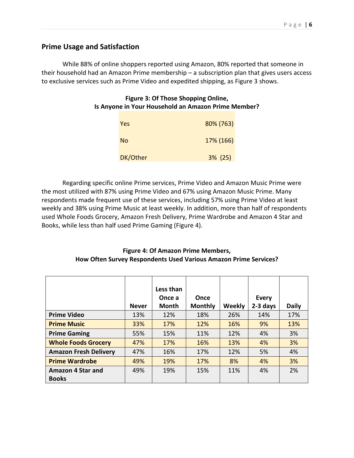#### **Prime Usage and Satisfaction**

While 88% of online shoppers reported using Amazon, 80% reported that someone in their household had an Amazon Prime membership – a subscription plan that gives users access to exclusive services such as Prime Video and expedited shipping, as Figure 3 shows.

#### **Figure 3: Of Those Shopping Online, Is Anyone in Your Household an Amazon Prime Member?**

| Yes      | 80% (763)  |
|----------|------------|
| No       | 17% (166)  |
| DK/Other | $3\%$ (25) |

Regarding specific online Prime services, Prime Video and Amazon Music Prime were the most utilized with 87% using Prime Video and 67% using Amazon Music Prime. Many respondents made frequent use of these services, including 57% using Prime Video at least weekly and 38% using Prime Music at least weekly. In addition, more than half of respondents used Whole Foods Grocery, Amazon Fresh Delivery, Prime Wardrobe and Amazon 4 Star and Books, while less than half used Prime Gaming (Figure 4).

#### **Figure 4: Of Amazon Prime Members, How Often Survey Respondents Used Various Amazon Prime Services?**

|                              | <b>Never</b> | Less than<br>Once a<br><b>Month</b> | Once<br><b>Monthly</b> | <b>Weekly</b> | <b>Every</b><br>2-3 days | <b>Daily</b> |
|------------------------------|--------------|-------------------------------------|------------------------|---------------|--------------------------|--------------|
| <b>Prime Video</b>           | 13%          | 12%                                 | 18%                    | 26%           | 14%                      | 17%          |
| <b>Prime Music</b>           | 33%          | 17%                                 | 12%                    | 16%           | 9%                       | 13%          |
| <b>Prime Gaming</b>          | 55%          | 15%                                 | 11%                    | 12%           | 4%                       | 3%           |
| <b>Whole Foods Grocery</b>   | 47%          | 17%                                 | 16%                    | 13%           | 4%                       | 3%           |
| <b>Amazon Fresh Delivery</b> | 47%          | 16%                                 | 17%                    | 12%           | 5%                       | 4%           |
| <b>Prime Wardrobe</b>        | 49%          | 19%                                 | 17%                    | 8%            | 4%                       | 3%           |
| <b>Amazon 4 Star and</b>     | 49%          | 19%                                 | 15%                    | 11%           | 4%                       | 2%           |
| <b>Books</b>                 |              |                                     |                        |               |                          |              |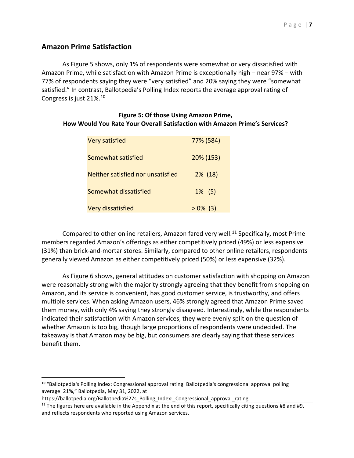#### **Amazon Prime Satisfaction**

As Figure 5 shows, only 1% of respondents were somewhat or very dissatisfied with Amazon Prime, while satisfaction with Amazon Prime is exceptionally high – near 97% – with 77% of respondents saying they were "very satisfied" and 20% saying they were "somewhat satisfied." In contrast, Ballotpedia's Polling Index reports the average approval rating of Congress is just 21%.[10](#page-7-0)

#### **Figure 5: Of those Using Amazon Prime, How Would You Rate Your Overall Satisfaction with Amazon Prime's Services?**

| <b>Very satisfied</b>             | 77% (584)  |
|-----------------------------------|------------|
| Somewhat satisfied                | 20% (153)  |
| Neither satisfied nor unsatisfied | $2\%$ (18) |
| Somewhat dissatisfied             | $1\%$ (5)  |
| <b>Very dissatisfied</b>          | $>0\%$ (3) |

Compared to other online retailers, Amazon fared very well.<sup>[11](#page-7-1)</sup> Specifically, most Prime members regarded Amazon's offerings as either competitively priced (49%) or less expensive (31%) than brick-and-mortar stores. Similarly, compared to other online retailers, respondents generally viewed Amazon as either competitively priced (50%) or less expensive (32%).

As Figure 6 shows, general attitudes on customer satisfaction with shopping on Amazon were reasonably strong with the majority strongly agreeing that they benefit from shopping on Amazon, and its service is convenient, has good customer service, is trustworthy, and offers multiple services. When asking Amazon users, 46% strongly agreed that Amazon Prime saved them money, with only 4% saying they strongly disagreed. Interestingly, while the respondents indicated their satisfaction with Amazon services, they were evenly split on the question of whether Amazon is too big, though large proportions of respondents were undecided. The takeaway is that Amazon may be big, but consumers are clearly saying that these services benefit them.

<span id="page-7-0"></span>**<sup>10</sup>** "Ballotpedia's Polling Index: Congressional approval rating: Ballotpedia's congressional approval polling average: 21%," Ballotpedia, May 31, 2022, at

https://ballotpedia.org/Ballotpedia%27s\_Polling\_Index:\_Congressional\_approval\_rating.

<span id="page-7-1"></span><sup>&</sup>lt;sup>11</sup> The figures here are available in the Appendix at the end of this report, specifically citing questions #8 and #9, and reflects respondents who reported using Amazon services.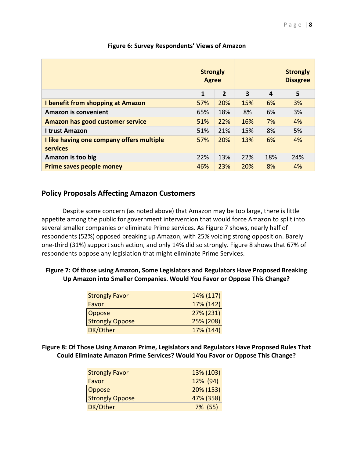|                                                              | <b>Strongly</b><br><b>Agree</b> |                |                         |                | <b>Strongly</b><br><b>Disagree</b> |
|--------------------------------------------------------------|---------------------------------|----------------|-------------------------|----------------|------------------------------------|
|                                                              | $\overline{\mathbf{1}}$         | $\overline{2}$ | $\overline{\mathbf{3}}$ | $\overline{4}$ | $\overline{5}$                     |
| I benefit from shopping at Amazon                            | 57%                             | 20%            | 15%                     | 6%             | 3%                                 |
| <b>Amazon is convenient</b>                                  | 65%                             | 18%            | 8%                      | 6%             | 3%                                 |
| Amazon has good customer service                             | 51%                             | 22%            | 16%                     | 7%             | 4%                                 |
| <b>I trust Amazon</b>                                        | 51%                             | 21%            | 15%                     | 8%             | 5%                                 |
| I like having one company offers multiple<br><b>services</b> | 57%                             | 20%            | 13%                     | 6%             | 4%                                 |
| Amazon is too big                                            | 22%                             | 13%            | 22%                     | 18%            | 24%                                |
| <b>Prime saves people money</b>                              | 46%                             | 23%            | 20%                     | 8%             | 4%                                 |

#### **Figure 6: Survey Respondents' Views of Amazon**

#### **Policy Proposals Affecting Amazon Customers**

Despite some concern (as noted above) that Amazon may be too large, there is little appetite among the public for government intervention that would force Amazon to split into several smaller companies or eliminate Prime services. As Figure 7 shows, nearly half of respondents (52%) opposed breaking up Amazon, with 25% voicing strong opposition. Barely one-third (31%) support such action, and only 14% did so strongly. Figure 8 shows that 67% of respondents oppose any legislation that might eliminate Prime Services.

#### **Figure 7: Of those using Amazon, Some Legislators and Regulators Have Proposed Breaking Up Amazon into Smaller Companies. Would You Favor or Oppose This Change?**

| <b>Strongly Favor</b>  | 14% (117) |
|------------------------|-----------|
| Favor                  | 17% (142) |
| <b>Oppose</b>          | 27% (231) |
| <b>Strongly Oppose</b> | 25% (208) |
| DK/Other               | 17% (144) |

**Figure 8: Of Those Using Amazon Prime, Legislators and Regulators Have Proposed Rules That Could Eliminate Amazon Prime Services? Would You Favor or Oppose This Change?**

| <b>Strongly Favor</b>  | 13% (103)    |
|------------------------|--------------|
| Favor                  | 12% (94)     |
| <b>Oppose</b>          | $20\% (153)$ |
| <b>Strongly Oppose</b> | 47% (358)    |
| DK/Other               | 7% (55)      |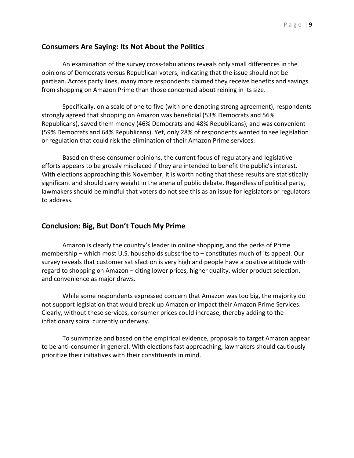#### **Consumers Are Saying: Its Not About the Politics**

An examination of the survey cross-tabulations reveals only small differences in the opinions of Democrats versus Republican voters, indicating that the issue should not be partisan. Across party lines, many more respondents claimed they receive benefits and savings from shopping on Amazon Prime than those concerned about reining in its size.

Specifically, on a scale of one to five (with one denoting strong agreement), respondents strongly agreed that shopping on Amazon was beneficial (53% Democrats and 56% Republicans), saved them money (46% Democrats and 48% Republicans), and was convenient (59% Democrats and 64% Republicans). Yet, only 28% of respondents wanted to see legislation or regulation that could risk the elimination of their Amazon Prime services.

Based on these consumer opinions, the current focus of regulatory and legislative efforts appears to be grossly misplaced if they are intended to benefit the public's interest. With elections approaching this November, it is worth noting that these results are statistically significant and should carry weight in the arena of public debate. Regardless of political party, lawmakers should be mindful that voters do not see this as an issue for legislators or regulators to address.

#### **Conclusion: Big, But Don't Touch My Prime**

Amazon is clearly the country's leader in online shopping, and the perks of Prime membership – which most U.S. households subscribe to – constitutes much of its appeal. Our survey reveals that customer satisfaction is very high and people have a positive attitude with regard to shopping on Amazon – citing lower prices, higher quality, wider product selection, and convenience as major draws.

While some respondents expressed concern that Amazon was too big, the majority do not support legislation that would break up Amazon or impact their Amazon Prime Services. Clearly, without these services, consumer prices could increase, thereby adding to the inflationary spiral currently underway.

To summarize and based on the empirical evidence, proposals to target Amazon appear to be anti-consumer in general. With elections fast approaching, lawmakers should cautiously prioritize their initiatives with their constituents in mind.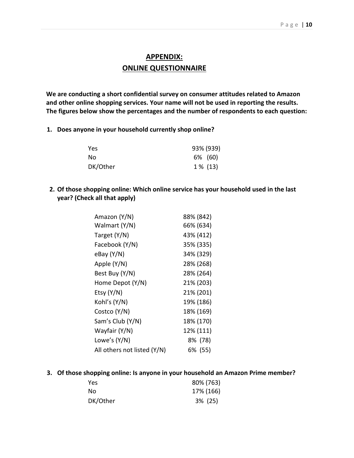### **APPENDIX: ONLINE QUESTIONNAIRE**

**We are conducting a short confidential survey on consumer attitudes related to Amazon and other online shopping services. Your name will not be used in reporting the results. The figures below show the percentages and the number of respondents to each question:**

**1. Does anyone in your household currently shop online?**

| Yes      | 93% (939)  |  |
|----------|------------|--|
| . No     | 6% (60)    |  |
| DK/Other | $1\%$ (13) |  |

**2. Of those shopping online: Which online service has your household used in the last year? (Check all that apply)**

| Amazon (Y/N)                | 88% (842) |
|-----------------------------|-----------|
| Walmart (Y/N)               | 66% (634) |
| Target (Y/N)                | 43% (412) |
| Facebook (Y/N)              | 35% (335) |
| $e$ Bay $(Y/N)$             | 34% (329) |
| Apple (Y/N)                 | 28% (268) |
| Best Buy (Y/N)              | 28% (264) |
| Home Depot (Y/N)            | 21% (203) |
| Etsy $(Y/N)$                | 21% (201) |
| Kohľs (Y/N)                 | 19% (186) |
| Costco (Y/N)                | 18% (169) |
| Sam's Club (Y/N)            | 18% (170) |
| Wayfair (Y/N)               | 12% (111) |
| Lowe's $(Y/N)$              | 8% (78)   |
| All others not listed (Y/N) | 6% (55)   |

**3. Of those shopping online: Is anyone in your household an Amazon Prime member?**

| <b>Yes</b> | 80% (763)  |
|------------|------------|
| - No       | 17% (166)  |
| DK/Other   | $3\%$ (25) |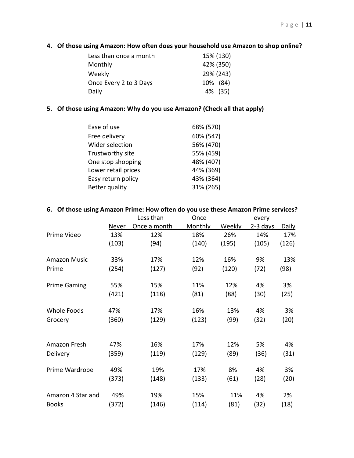#### **4. Of those using Amazon: How often does your household use Amazon to shop online?**

| Less than once a month | 15% (130) |
|------------------------|-----------|
| Monthly                | 42% (350) |
| Weekly                 | 29% (243) |
| Once Every 2 to 3 Days | 10% (84)  |
| Daily                  | 4% (35)   |

#### **5. Of those using Amazon: Why do you use Amazon? (Check all that apply)**

| Ease of use           | 68% (570) |
|-----------------------|-----------|
| Free delivery         | 60% (547) |
| Wider selection       | 56% (470) |
| Trustworthy site      | 55% (459) |
| One stop shopping     | 48% (407) |
| Lower retail prices   | 44% (369) |
| Easy return policy    | 43% (364) |
| <b>Better quality</b> | 31% (265) |

#### **6. Of those using Amazon Prime: How often do you use these Amazon Prime services?**

|                     |       | Less than    | Once    |        | every    |              |
|---------------------|-------|--------------|---------|--------|----------|--------------|
|                     | Never | Once a month | Monthly | Weekly | 2-3 days | <b>Daily</b> |
| Prime Video         | 13%   | 12%          | 18%     | 26%    | 14%      | 17%          |
|                     | (103) | (94)         | (140)   | (195)  | (105)    | (126)        |
| <b>Amazon Music</b> | 33%   | 17%          | 12%     | 16%    | 9%       | 13%          |
| Prime               | (254) | (127)        | (92)    | (120)  | (72)     | (98)         |
| <b>Prime Gaming</b> | 55%   | 15%          | 11%     | 12%    | 4%       | 3%           |
|                     | (421) | (118)        | (81)    | (88)   | (30)     | (25)         |
| Whole Foods         | 47%   | 17%          | 16%     | 13%    | 4%       | 3%           |
| Grocery             | (360) | (129)        | (123)   | (99)   | (32)     | (20)         |
|                     |       |              |         |        | 5%       |              |
| Amazon Fresh        | 47%   | 16%          | 17%     | 12%    |          | 4%           |
| <b>Delivery</b>     | (359) | (119)        | (129)   | (89)   | (36)     | (31)         |
| Prime Wardrobe      | 49%   | 19%          | 17%     | 8%     | 4%       | 3%           |
|                     | (373) | (148)        | (133)   | (61)   | (28)     | (20)         |
| Amazon 4 Star and   | 49%   | 19%          | 15%     | 11%    | 4%       | 2%           |
| <b>Books</b>        | (372) | (146)        | (114)   | (81)   | (32)     | (18)         |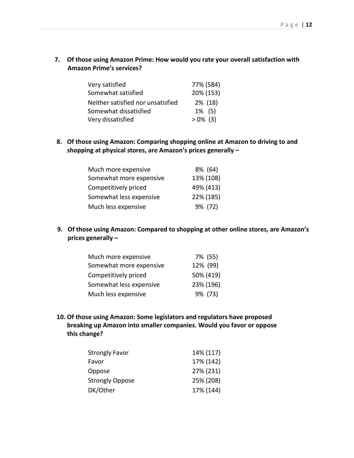**7. Of those using Amazon Prime: How would you rate your overall satisfaction with Amazon Prime's services?**

| Very satisfied                    | 77% (584)  |
|-----------------------------------|------------|
| Somewhat satisfied                | 20% (153)  |
| Neither satisfied nor unsatisfied | 2% (18)    |
| Somewhat dissatisfied             | $1\%$ (5)  |
| Very dissatisfied                 | $>0\%$ (3) |

**8. Of those using Amazon: Comparing shopping online at Amazon to driving to and shopping at physical stores, are Amazon's prices generally –**

| Much more expensive     | 8% (64)   |
|-------------------------|-----------|
| Somewhat more expensive | 13% (108) |
| Competitively priced    | 49% (413) |
| Somewhat less expensive | 22% (185) |
| Much less expensive     | 9% (72)   |

**9. Of those using Amazon: Compared to shopping at other online stores, are Amazon's prices generally –**

| Much more expensive     | 7% (55)   |
|-------------------------|-----------|
| Somewhat more expensive | 12% (99)  |
| Competitively priced    | 50% (419) |
| Somewhat less expensive | 23% (196) |
| Much less expensive     | 9% (73)   |

**10. Of those using Amazon: Some legislators and regulators have proposed breaking up Amazon into smaller companies. Would you favor or oppose this change?**

| <b>Strongly Favor</b>  | 14% (117) |
|------------------------|-----------|
| Favor                  | 17% (142) |
| Oppose                 | 27% (231) |
| <b>Strongly Oppose</b> | 25% (208) |
| DK/Other               | 17% (144) |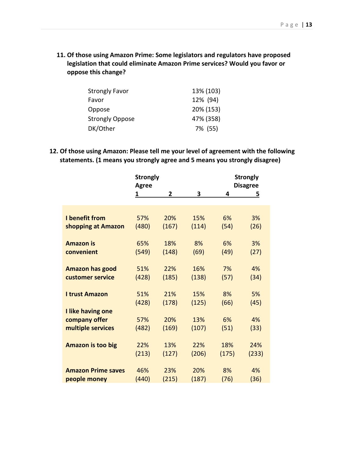**11. Of those using Amazon Prime: Some legislators and regulators have proposed legislation that could eliminate Amazon Prime services? Would you favor or oppose this change?**

| <b>Strongly Favor</b>  | 13% (103) |
|------------------------|-----------|
| Favor                  | 12% (94)  |
| Oppose                 | 20% (153) |
| <b>Strongly Oppose</b> | 47% (358) |
| DK/Other               | 7% (55)   |

**12. Of those using Amazon: Please tell me your level of agreement with the following statements. (1 means you strongly agree and 5 means you strongly disagree)**

|                           | <b>Strongly</b><br><b>Agree</b> |       |       |       | <b>Strongly</b><br><b>Disagree</b> |
|---------------------------|---------------------------------|-------|-------|-------|------------------------------------|
|                           | 1                               | 2     | 3     | 4     | <u>5</u>                           |
|                           |                                 |       |       |       |                                    |
|                           |                                 |       |       |       |                                    |
| I benefit from            | 57%                             | 20%   | 15%   | 6%    | 3%                                 |
| shopping at Amazon        | (480)                           | (167) | (114) | (54)  | (26)                               |
| <b>Amazon is</b>          | 65%                             | 18%   | 8%    | 6%    | 3%                                 |
| convenient                | (549)                           | (148) | (69)  | (49)  | (27)                               |
| <b>Amazon has good</b>    | 51%                             | 22%   | 16%   | 7%    | 4%                                 |
| customer service          | (428)                           | (185) | (138) | (57)  | (34)                               |
| <b>I trust Amazon</b>     | 51%                             | 21%   | 15%   | 8%    | 5%                                 |
|                           | (428)                           | (178) | (125) | (66)  | (45)                               |
| I like having one         |                                 |       |       |       |                                    |
| company offer             | 57%                             | 20%   | 13%   | 6%    | 4%                                 |
| multiple services         | (482)                           | (169) | (107) | (51)  | (33)                               |
| <b>Amazon is too big</b>  | 22%                             | 13%   | 22%   | 18%   | 24%                                |
|                           | (213)                           | (127) | (206) | (175) | (233)                              |
| <b>Amazon Prime saves</b> | 46%                             | 23%   | 20%   | 8%    | 4%                                 |
|                           |                                 |       |       |       |                                    |
| people money              | (440)                           | (215) | (187) | (76)  | (36)                               |